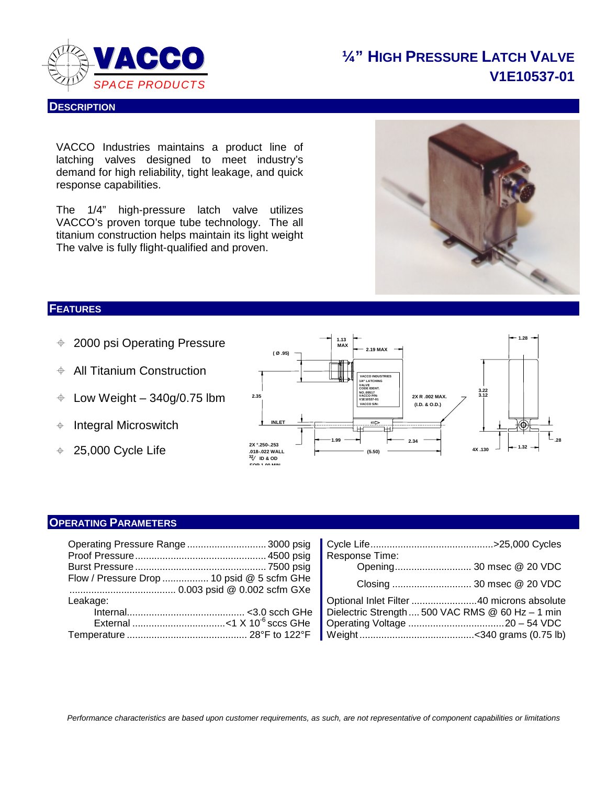

# **¼" HIGH PRESSURE LATCH VALVE V1E10537-01**

VACCO Industries maintains a product line of latching valves designed to meet industry's demand for high reliability, tight leakage, and quick response capabilities.

The 1/4" high-pressure latch valve utilizes VACCO's proven torque tube technology. The all titanium construction helps maintain its light weight The valve is fully flight-qualified and proven.



### **FEATURES**

**DESCRIPTION**

- 2000 psi Operating Pressure
- $\div$  All Titanium Construction
- $\div$  Low Weight 340g/0.75 lbm
- $\triangleq$  Integral Microswitch
- $\div$  25,000 Cycle Life



### **OPERATING PARAMETERS**

| Operating Pressure Range  3000 psig        |                                                  |
|--------------------------------------------|--------------------------------------------------|
|                                            | Response Time:                                   |
|                                            |                                                  |
| Flow / Pressure Drop  10 psid @ 5 scfm GHe |                                                  |
| Leakage:                                   |                                                  |
|                                            | Dielectric Strength  500 VAC RMS @ 60 Hz - 1 min |
|                                            |                                                  |
|                                            |                                                  |
|                                            |                                                  |

| Pressure Drop  10 psid @ 5 scfm GHe |                                                                                              |
|-------------------------------------|----------------------------------------------------------------------------------------------|
|                                     | Optional Inlet Filter 40 microns absolute                                                    |
|                                     |                                                                                              |
|                                     |                                                                                              |
|                                     |                                                                                              |
|                                     | tting Pressure Range 3000 psig ┃ Cycle Life……………………………………………>25,000 Cycles<br>Response Time: |

*Performance characteristics are based upon customer requirements, as such, are not representative of component capabilities or limitations*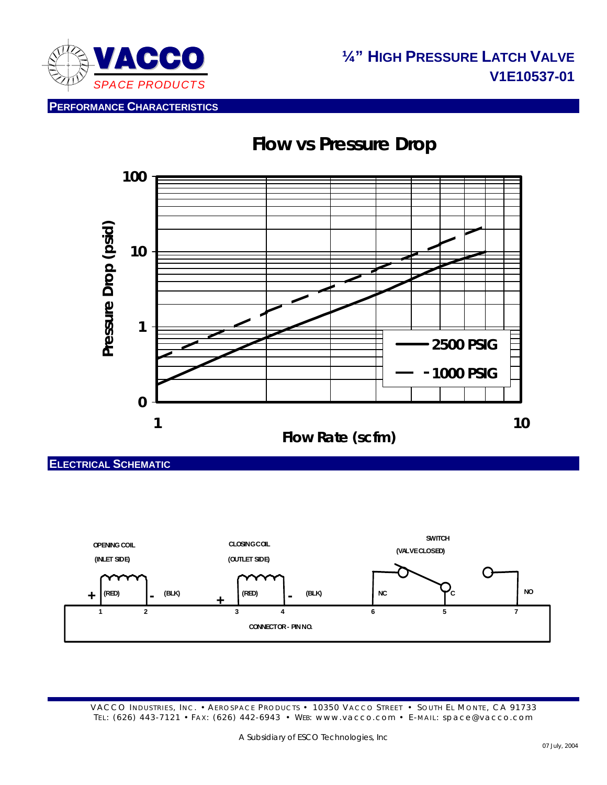

**PERFORMANCE CHARACTERISTICS**





**ELECTRICAL SCHEMATIC**



VACCO INDUSTRIES, INC. • AEROSPACE PRODUCTS • 10350 VACCO STREET • SOUTH EL MONTE, CA 91733 TEL: (626) 443-7121 • FAX: (626) 442-6943 • WEB: www.vacco.com • E-MAIL: space@vacco.com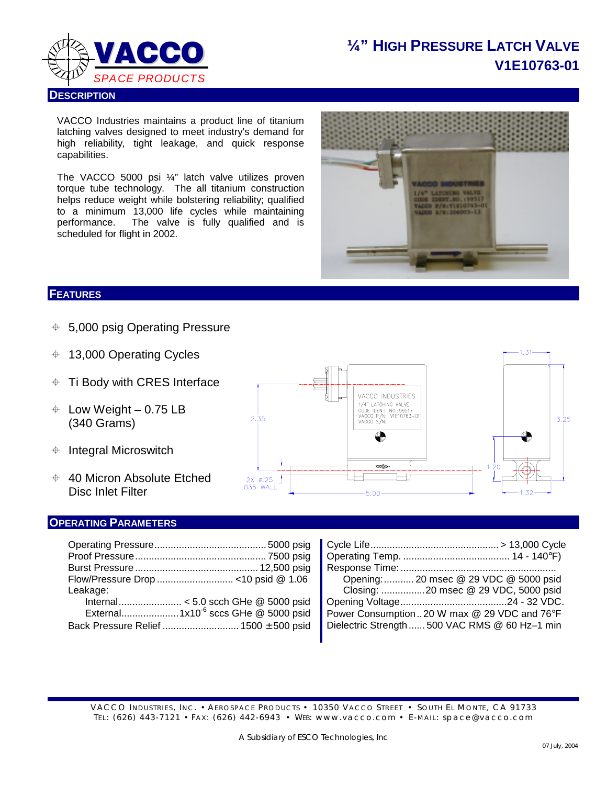

# **¼" HIGH PRESSURE LATCH VALVE V1E10763-01**

VACCO Industries maintains a product line of titanium latching valves designed to meet industry's demand for high reliability, tight leakage, and quick response capabilities.

The VACCO 5000 psi ¼" latch valve utilizes proven torque tube technology. The all titanium construction helps reduce weight while bolstering reliability; qualified to a minimum 13,000 life cycles while maintaining performance. The valve is fully qualified and is scheduled for flight in 2002.



### **FEATURES**

- $\div$  5,000 psig Operating Pressure
- 13,000 Operating Cycles
- $\div$  Ti Body with CRES Interface
- $\div$  Low Weight 0.75 LB (340 Grams)
- $\triangleq$  Integral Microswitch
- $\div$  40 Micron Absolute Etched Disc Inlet Filter

#### **OPERATING PARAMETERS**

| 2.35                        | VACCO INDUSTRIES<br>1/4" LATCHING VALVE<br>CODE IDENT. NO.: 99517<br>VACCO P/N: V1E10763-01<br>VACCO S/N:<br>⚠ | $\clubsuit$ | 3.25 |
|-----------------------------|----------------------------------------------------------------------------------------------------------------|-------------|------|
| $2X \times 25$<br>.035 WALL | <b>mato</b><br>5.00                                                                                            | 1.20<br>-32 |      |

|          | <u>∥ Oycle Life……………………………………………&gt; T3,000 Oycle</u> |
|----------|-------------------------------------------------------|
|          |                                                       |
|          |                                                       |
|          | Opening: 20 msec @ 29 VDC @ 5000 psid                 |
| Leakage: |                                                       |
|          |                                                       |
|          | Power Consumption20 W max @ 29 VDC and 76°F           |
|          | Dielectric Strength  500 VAC RMS @ 60 Hz-1 min        |
|          |                                                       |

| Opening:  20 msec @ 29 VDC @ 5000 psid                                                  |  |
|-----------------------------------------------------------------------------------------|--|
| Leakage:                                                                                |  |
|                                                                                         |  |
| Power Consumption20 W max @ 29 VDC and 76°F                                             |  |
| Dielectric Strength  500 VAC RMS @ 60 Hz-1 min<br>Back Pressure Relief  1500 ± 500 psid |  |

VACCO INDUSTRIES, INC. • AEROSPACE PRODUCTS • 10350 VACCO STREET • SOUTH EL MONTE, CA 91733 TEL: (626) 443-7121 • FAX: (626) 442-6943 • WEB: www.vacco.com • E-MAIL: space@vacco.com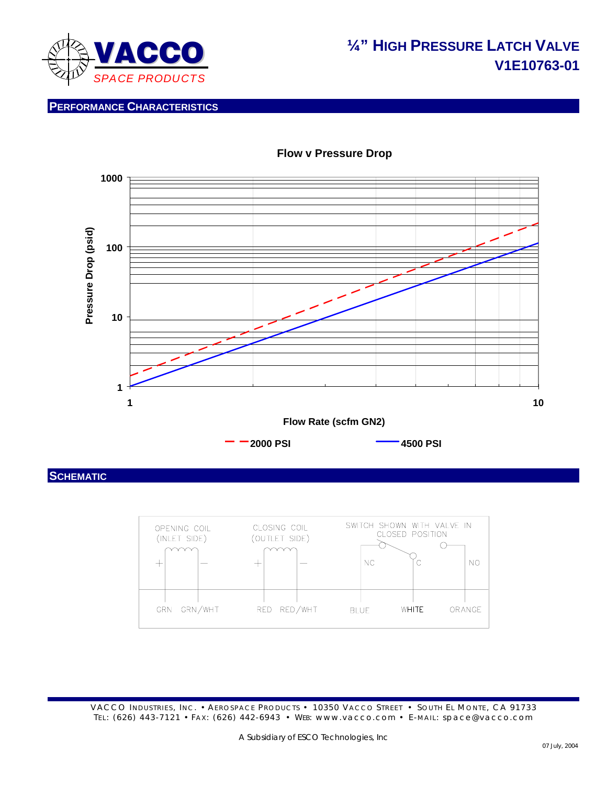

# **¼" HIGH PRESSURE LATCH VALVE V1E10763-01**

**PERFORMANCE CHARACTERISTICS**



### **Flow v Pressure Drop**

**SCHEMATIC**

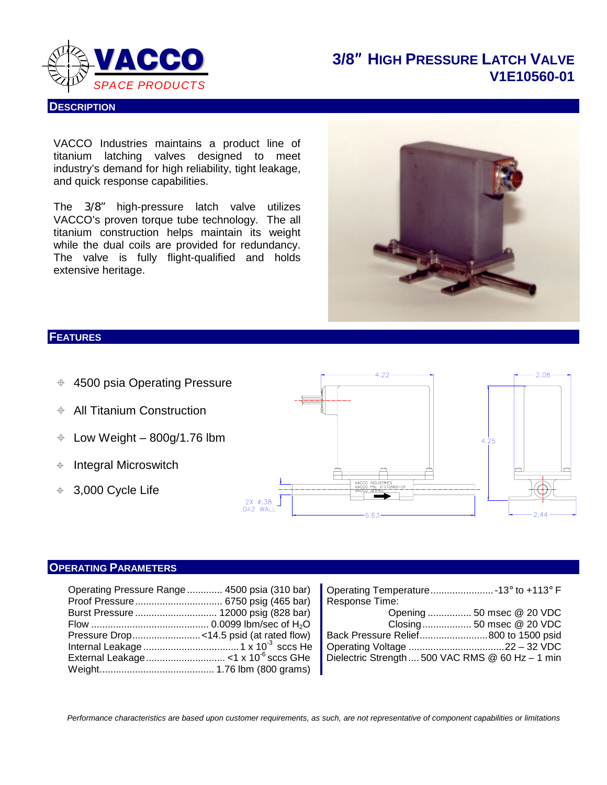

**DESCRIPTION**

## **3/8**" **HIGH PRESSURE LATCH VALVE V1E10560-01**

VACCO Industries maintains a product line of titanium latching valves designed to meet industry's demand for high reliability, tight leakage, and quick response capabilities.

The 3/8" high-pressure latch valve utilizes VACCO's proven torque tube technology. The all titanium construction helps maintain its weight while the dual coils are provided for redundancy. The valve is fully flight-qualified and holds extensive heritage.



### **FEATURES**

- $+4500$  psia Operating Pressure
- $\div$  All Titanium Construction
- $\div$  Low Weight 800g/1.76 lbm
- $\triangleq$  Integral Microswitch
- 3,000 Cycle Life



### **OPERATING PARAMETERS**

| Operating Pressure Range 4500 psia (310 bar) |                                                  |
|----------------------------------------------|--------------------------------------------------|
|                                              | Response Time:                                   |
|                                              |                                                  |
|                                              |                                                  |
|                                              |                                                  |
|                                              |                                                  |
|                                              | Dielectric Strength  500 VAC RMS @ 60 Hz - 1 min |
|                                              |                                                  |

| Operating Temperature13° to +113° F              |                           |  |
|--------------------------------------------------|---------------------------|--|
| Response Time:                                   |                           |  |
|                                                  | Opening  50 msec @ 20 VDC |  |
|                                                  | Closing 50 msec @ 20 VDC  |  |
| Back Pressure Relief800 to 1500 psid             |                           |  |
|                                                  |                           |  |
| Dielectric Strength  500 VAC RMS @ 60 Hz - 1 min |                           |  |
|                                                  |                           |  |

*Performance characteristics are based upon customer requirements, as such, are not representative of component capabilities or limitations*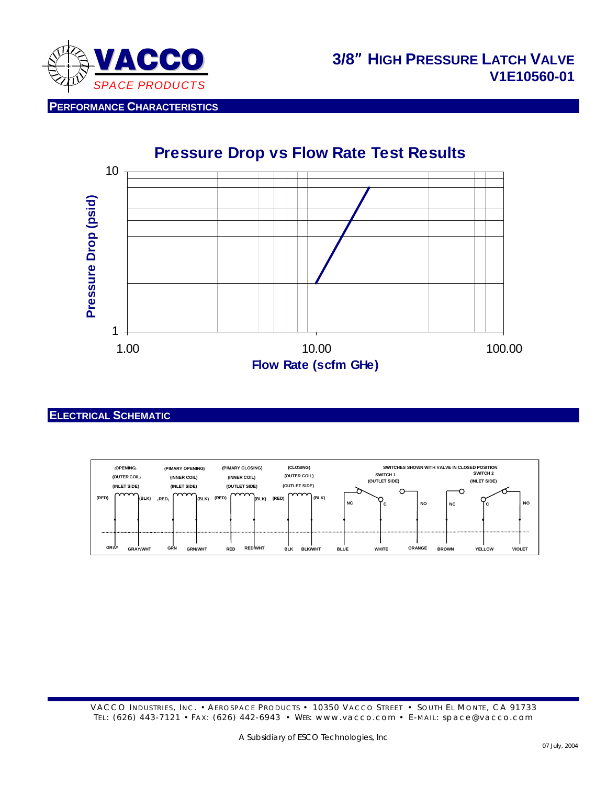

**PERFORMANCE CHARACTERISTICS**



#### **ELECTRICAL SCHEMATIC**

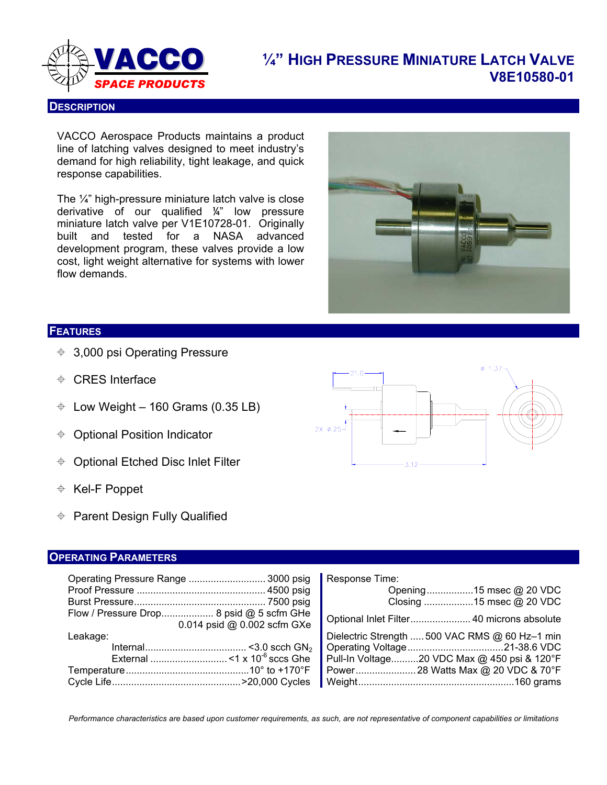

# **¼" HIGH PRESSURE MINIATURE LATCH VALVE V8E10580-01** *SPACE PRODUCTS*

#### **DESCRIPTION**

VACCO Aerospace Products maintains a product line of latching valves designed to meet industry's demand for high reliability, tight leakage, and quick response capabilities.

The ¼" high-pressure miniature latch valve is close derivative of our qualified ¼" low pressure miniature latch valve per V1E10728-01. Originally built and tested for a NASA advanced development program, these valves provide a low cost, light weight alternative for systems with lower flow demands.



#### **FEATURES**

- 3,000 psi Operating Pressure
- CRES Interface
- $\div$  Low Weight 160 Grams (0.35 LB)
- **♦ Optional Position Indicator**
- Optional Etched Disc Inlet Filter
- Kel-F Poppet
- $\div$  Parent Design Fully Qualified

#### **OPERATING PARAMETERS**

|          |                                                                         | Response Time:<br>Opening15 msec @ 20 VDC<br>Closing 15 msec @ 20 VDC |
|----------|-------------------------------------------------------------------------|-----------------------------------------------------------------------|
|          | Flow / Pressure Drop 8 psid @ 5 scfm GHe<br>0.014 psid @ 0.002 scfm GXe |                                                                       |
| Leakage: |                                                                         | Dielectric Strength  500 VAC RMS @ 60 Hz-1 min                        |
|          |                                                                         |                                                                       |
|          |                                                                         | Pull-In Voltage20 VDC Max @ 450 psi & 120°F                           |
|          |                                                                         |                                                                       |
|          |                                                                         |                                                                       |

*Performance characteristics are based upon customer requirements, as such, are not representative of component capabilities or limitations*